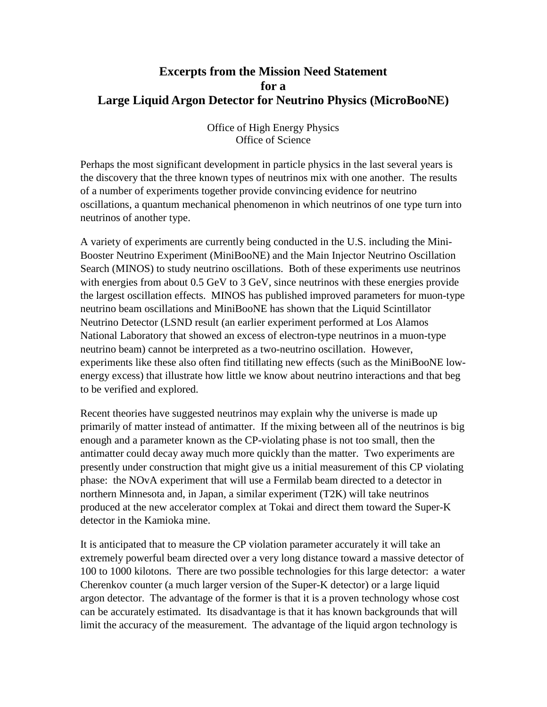## **Excerpts from the Mission Need Statement for a Large Liquid Argon Detector for Neutrino Physics (MicroBooNE)**

## Office of High Energy Physics Office of Science

Perhaps the most significant development in particle physics in the last several years is the discovery that the three known types of neutrinos mix with one another. The results of a number of experiments together provide convincing evidence for neutrino oscillations, a quantum mechanical phenomenon in which neutrinos of one type turn into neutrinos of another type.

A variety of experiments are currently being conducted in the U.S. including the Mini-Booster Neutrino Experiment (MiniBooNE) and the Main Injector Neutrino Oscillation Search (MINOS) to study neutrino oscillations. Both of these experiments use neutrinos with energies from about 0.5 GeV to 3 GeV, since neutrinos with these energies provide the largest oscillation effects. MINOS has published improved parameters for muon-type neutrino beam oscillations and MiniBooNE has shown that the Liquid Scintillator Neutrino Detector (LSND result (an earlier experiment performed at Los Alamos National Laboratory that showed an excess of electron-type neutrinos in a muon-type neutrino beam) cannot be interpreted as a two-neutrino oscillation. However, experiments like these also often find titillating new effects (such as the MiniBooNE lowenergy excess) that illustrate how little we know about neutrino interactions and that beg to be verified and explored.

Recent theories have suggested neutrinos may explain why the universe is made up primarily of matter instead of antimatter. If the mixing between all of the neutrinos is big enough and a parameter known as the CP-violating phase is not too small, then the antimatter could decay away much more quickly than the matter. Two experiments are presently under construction that might give us a initial measurement of this CP violating phase: the NOvA experiment that will use a Fermilab beam directed to a detector in northern Minnesota and, in Japan, a similar experiment (T2K) will take neutrinos produced at the new accelerator complex at Tokai and direct them toward the Super-K detector in the Kamioka mine.

It is anticipated that to measure the CP violation parameter accurately it will take an extremely powerful beam directed over a very long distance toward a massive detector of 100 to 1000 kilotons. There are two possible technologies for this large detector: a water Cherenkov counter (a much larger version of the Super-K detector) or a large liquid argon detector. The advantage of the former is that it is a proven technology whose cost can be accurately estimated. Its disadvantage is that it has known backgrounds that will limit the accuracy of the measurement. The advantage of the liquid argon technology is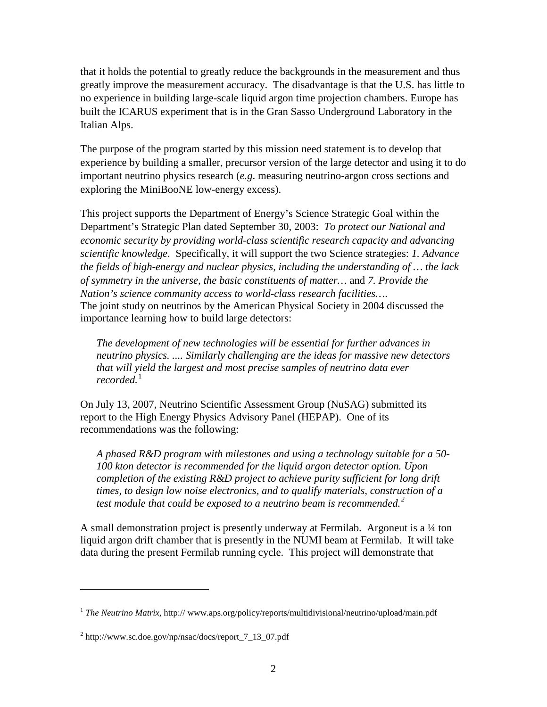that it holds the potential to greatly reduce the backgrounds in the measurement and thus greatly improve the measurement accuracy. The disadvantage is that the U.S. has little to no experience in building large-scale liquid argon time projection chambers. Europe has built the ICARUS experiment that is in the Gran Sasso Underground Laboratory in the Italian Alps.

The purpose of the program started by this mission need statement is to develop that experience by building a smaller, precursor version of the large detector and using it to do important neutrino physics research (*e.g*. measuring neutrino-argon cross sections and exploring the MiniBooNE low-energy excess).

This project supports the Department of Energy's Science Strategic Goal within the Department's Strategic Plan dated September 30, 2003: *To protect our National and economic security by providing world-class scientific research capacity and advancing scientific knowledge*. Specifically, it will support the two Science strategies: *1. Advance the fields of high-energy and nuclear physics, including the understanding of … the lack of symmetry in the universe, the basic constituents of matter…* and *7. Provide the Nation's science community access to world-class research facilities…*. The joint study on neutrinos by the American Physical Society in 2004 discussed the importance learning how to build large detectors:

*The development of new technologies will be essential for further advances in neutrino physics. .... Similarly challenging are the ideas for massive new detectors that will yield the largest and most precise samples of neutrino data ever recorded.*[1](#page-1-0)

On July 13, 2007, Neutrino Scientific Assessment Group (NuSAG) submitted its report to the High Energy Physics Advisory Panel (HEPAP). One of its recommendations was the following:

*A phased R&D program with milestones and using a technology suitable for a 50- 100 kton detector is recommended for the liquid argon detector option. Upon completion of the existing R&D project to achieve purity sufficient for long drift times, to design low noise electronics, and to qualify materials, construction of a test module that could be exposed to a neutrino beam is recommended.[2](#page-1-1)*

A small demonstration project is presently underway at Fermilab. Argoneut is a ¼ ton liquid argon drift chamber that is presently in the NUMI beam at Fermilab. It will take data during the present Fermilab running cycle. This project will demonstrate that

 $\overline{a}$ 

<span id="page-1-0"></span><sup>&</sup>lt;sup>1</sup> *The Neutrino Matrix*, http:// www.aps.org/policy/reports/multidivisional/neutrino/upload/main.pdf

<span id="page-1-1"></span> $^{2}$  http://www.sc.doe.gov/np/nsac/docs/report  $7$  13 07.pdf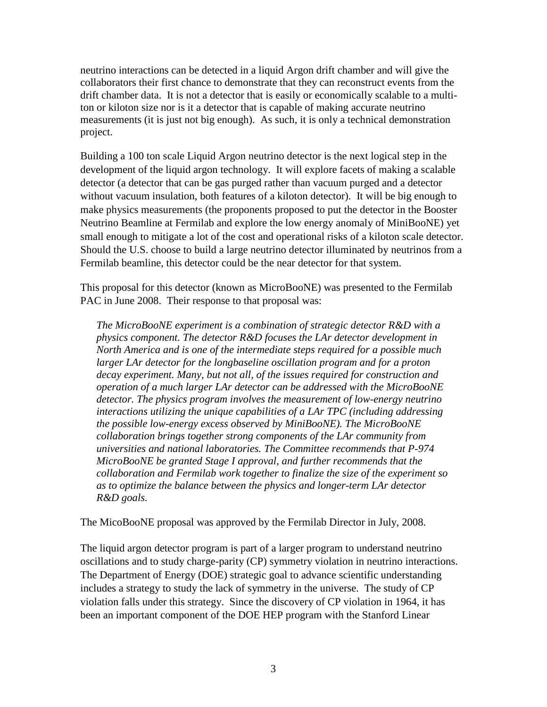neutrino interactions can be detected in a liquid Argon drift chamber and will give the collaborators their first chance to demonstrate that they can reconstruct events from the drift chamber data. It is not a detector that is easily or economically scalable to a multiton or kiloton size nor is it a detector that is capable of making accurate neutrino measurements (it is just not big enough). As such, it is only a technical demonstration project.

Building a 100 ton scale Liquid Argon neutrino detector is the next logical step in the development of the liquid argon technology. It will explore facets of making a scalable detector (a detector that can be gas purged rather than vacuum purged and a detector without vacuum insulation, both features of a kiloton detector). It will be big enough to make physics measurements (the proponents proposed to put the detector in the Booster Neutrino Beamline at Fermilab and explore the low energy anomaly of MiniBooNE) yet small enough to mitigate a lot of the cost and operational risks of a kiloton scale detector. Should the U.S. choose to build a large neutrino detector illuminated by neutrinos from a Fermilab beamline, this detector could be the near detector for that system.

This proposal for this detector (known as MicroBooNE) was presented to the Fermilab PAC in June 2008. Their response to that proposal was:

*The MicroBooNE experiment is a combination of strategic detector R&D with a physics component. The detector R&D focuses the LAr detector development in North America and is one of the intermediate steps required for a possible much*  larger LAr detector for the longbaseline oscillation program and for a proton *decay experiment. Many, but not all, of the issues required for construction and operation of a much larger LAr detector can be addressed with the MicroBooNE detector. The physics program involves the measurement of low-energy neutrino interactions utilizing the unique capabilities of a LAr TPC (including addressing the possible low-energy excess observed by MiniBooNE). The MicroBooNE collaboration brings together strong components of the LAr community from universities and national laboratories. The Committee recommends that P-974 MicroBooNE be granted Stage I approval, and further recommends that the collaboration and Fermilab work together to finalize the size of the experiment so as to optimize the balance between the physics and longer-term LAr detector R&D goals.*

The MicoBooNE proposal was approved by the Fermilab Director in July, 2008.

The liquid argon detector program is part of a larger program to understand neutrino oscillations and to study charge-parity (CP) symmetry violation in neutrino interactions. The Department of Energy (DOE) strategic goal to advance scientific understanding includes a strategy to study the lack of symmetry in the universe. The study of CP violation falls under this strategy. Since the discovery of CP violation in 1964, it has been an important component of the DOE HEP program with the Stanford Linear